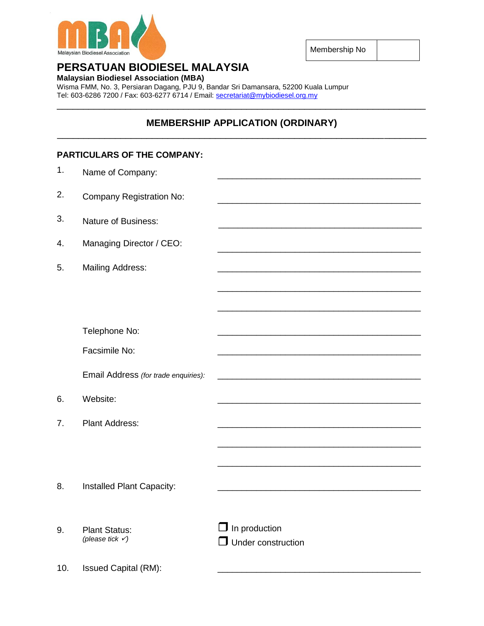

Membership No

## **PERSATUAN BIODIESEL MALAYSIA**

**Malaysian Biodiesel Association (MBA)**

Wisma FMM, No. 3, Persiaran Dagang, PJU 9, Bandar Sri Damansara, 52200 Kuala Lumpur Tel: 603-6286 7200 / Fax: 603-6277 6714 / Email: [secretariat@mybiodiesel.org.my](mailto:secretariat@mybiodiesel.org.my) \_\_\_\_\_\_\_\_\_\_\_\_\_\_\_\_\_\_\_\_\_\_\_\_\_\_\_\_\_\_\_\_\_\_\_\_\_\_\_\_\_\_\_\_\_\_\_\_\_\_\_\_\_\_\_\_\_\_\_\_\_\_\_\_\_\_\_\_\_\_

#### **MEMBERSHIP APPLICATION (ORDINARY)** \_\_\_\_\_\_\_\_\_\_\_\_\_\_\_\_\_\_\_\_\_\_\_\_\_\_\_\_\_\_\_\_\_\_\_\_\_\_\_\_\_\_\_\_\_\_\_\_\_\_\_\_\_\_\_\_\_\_\_\_\_\_\_\_\_\_\_\_\_\_

# **PARTICULARS OF THE COMPANY:** 1. Name of Company: 2. Company Registration No: 3. Nature of Business: 4. Managing Director / CEO: \_\_\_\_\_\_\_\_\_\_\_\_\_\_\_\_\_\_\_\_\_\_\_\_\_\_\_\_\_\_\_\_\_\_\_\_\_\_\_\_\_\_ 5. Mailing Address: \_\_\_\_\_\_\_\_\_\_\_\_\_\_\_\_\_\_\_\_\_\_\_\_\_\_\_\_\_\_\_\_\_\_\_\_\_\_\_\_\_\_ \_\_\_\_\_\_\_\_\_\_\_\_\_\_\_\_\_\_\_\_\_\_\_\_\_\_\_\_\_\_\_\_\_\_\_\_\_\_\_\_\_\_ Telephone No: Facsimile No: \_\_\_\_\_\_\_\_\_\_\_\_\_\_\_\_\_\_\_\_\_\_\_\_\_\_\_\_\_\_\_\_\_\_\_\_\_\_\_\_\_\_ \_\_\_\_\_\_\_\_\_\_\_\_\_\_\_\_\_\_\_\_\_\_\_\_\_\_\_\_\_\_\_\_\_\_\_\_\_\_\_\_\_\_ Email Address *(for trade enquiries):* 6. Website: \_\_\_\_\_\_\_\_\_\_\_\_\_\_\_\_\_\_\_\_\_\_\_\_\_\_\_\_\_\_\_\_\_\_\_\_\_\_\_\_\_\_ 7. Plant Address: \_\_\_\_\_\_\_\_\_\_\_\_\_\_\_\_\_\_\_\_\_\_\_\_\_\_\_\_\_\_\_\_\_\_\_\_\_\_\_\_\_\_ \_\_\_\_\_\_\_\_\_\_\_\_\_\_\_\_\_\_\_\_\_\_\_\_\_\_\_\_\_\_\_\_\_\_\_\_\_\_\_\_\_\_ 8. Installed Plant Capacity: 9. Plant Status: *(please tick )*  $\Box$  In production **Under construction** 10. Issued Capital (RM):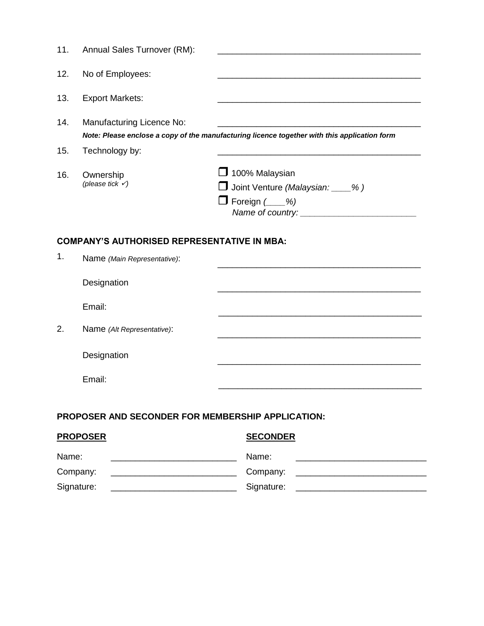| 11. | Annual Sales Turnover (RM):                        |                                                                                              |
|-----|----------------------------------------------------|----------------------------------------------------------------------------------------------|
| 12. | No of Employees:                                   |                                                                                              |
| 13. | <b>Export Markets:</b>                             |                                                                                              |
| 14. | Manufacturing Licence No:                          | Note: Please enclose a copy of the manufacturing licence together with this application form |
| 15. | Technology by:                                     |                                                                                              |
| 16. | Ownership<br>(please tick $\checkmark$ )           | 100% Malaysian<br>$\Box$ Joint Venture (Malaysian: $\_\_\%$ )<br>$\Box$ Foreign ( $\_\_\%$ ) |
|     | <b>COMPANY'S AUTHORISED REPRESENTATIVE IN MBA:</b> |                                                                                              |
| 1.  | Name (Main Representative):                        |                                                                                              |
|     | Designation                                        |                                                                                              |
|     | Email:                                             |                                                                                              |

2. Name *(Alt Representative)*:

Designation

Email:

### **PROPOSER AND SECONDER FOR MEMBERSHIP APPLICATION:**

| <b>PROPOSER</b> | <b>SECONDER</b> |
|-----------------|-----------------|
| Name:           | Name:           |
| Company:        | Company:        |
| Signature:      | Signature:      |

\_\_\_\_\_\_\_\_\_\_\_\_\_\_\_\_\_\_\_\_\_\_\_\_\_\_\_\_\_\_\_\_\_\_\_\_\_\_\_\_\_\_

\_\_\_\_\_\_\_\_\_\_\_\_\_\_\_\_\_\_\_\_\_\_\_\_\_\_\_\_\_\_\_\_\_\_\_\_\_\_\_\_\_\_

\_\_\_\_\_\_\_\_\_\_\_\_\_\_\_\_\_\_\_\_\_\_\_\_\_\_\_\_\_\_\_\_\_\_\_\_\_\_\_\_\_\_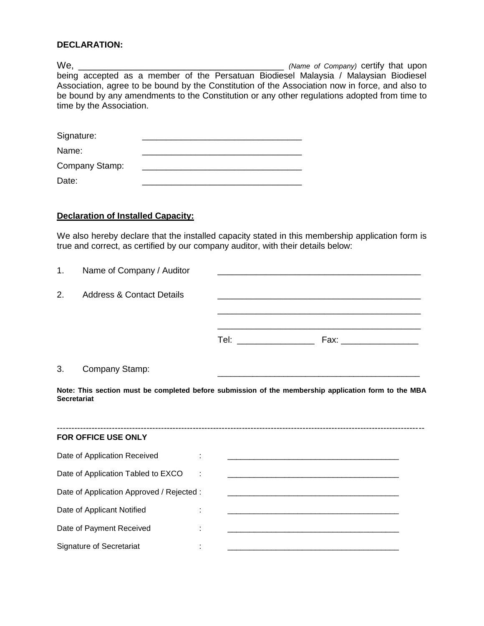#### **DECLARATION:**

We, \_\_\_\_\_\_\_\_\_\_\_\_\_\_\_\_\_\_\_\_\_\_\_\_\_\_\_\_\_\_\_\_\_\_\_\_\_\_\_ *(Name of Company)* certify that upon being accepted as a member of the Persatuan Biodiesel Malaysia / Malaysian Biodiesel Association, agree to be bound by the Constitution of the Association now in force, and also to be bound by any amendments to the Constitution or any other regulations adopted from time to time by the Association.

| Signature:     |  |
|----------------|--|
| Name:          |  |
| Company Stamp: |  |
| Date:          |  |

#### **Declaration of Installed Capacity:**

We also hereby declare that the installed capacity stated in this membership application form is true and correct, as certified by our company auditor, with their details below:

| 1.                 | Name of Company / Auditor                                                                   |                                                                                                      |
|--------------------|---------------------------------------------------------------------------------------------|------------------------------------------------------------------------------------------------------|
| 2.                 | Address & Contact Details                                                                   |                                                                                                      |
|                    |                                                                                             |                                                                                                      |
| 3.                 | Company Stamp:                                                                              |                                                                                                      |
| <b>Secretariat</b> |                                                                                             | Note: This section must be completed before submission of the membership application form to the MBA |
|                    | <b>FOR OFFICE USE ONLY</b>                                                                  |                                                                                                      |
|                    | $\mathbf{D}$ and $\mathbf{A}$ are the set of $\mathbf{D}$ and $\mathbf{A}$ and $\mathbf{A}$ |                                                                                                      |

| Date of Application Received              |   |  |
|-------------------------------------------|---|--|
| Date of Application Tabled to EXCO        | ÷ |  |
| Date of Application Approved / Rejected : |   |  |
| Date of Applicant Notified                |   |  |
| Date of Payment Received                  |   |  |
| <b>Signature of Secretariat</b>           |   |  |